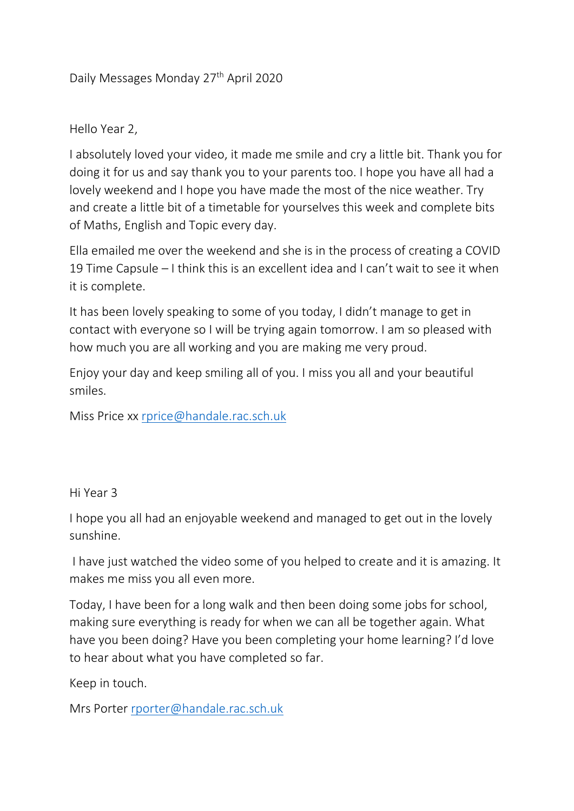## Daily Messages Monday 27<sup>th</sup> April 2020

## Hello Year 2,

I absolutely loved your video, it made me smile and cry a little bit. Thank you for doing it for us and say thank you to your parents too. I hope you have all had a lovely weekend and I hope you have made the most of the nice weather. Try and create a little bit of a timetable for yourselves this week and complete bits of Maths, English and Topic every day.

Ella emailed me over the weekend and she is in the process of creating a COVID 19 Time Capsule – I think this is an excellent idea and I can't wait to see it when it is complete.

It has been lovely speaking to some of you today, I didn't manage to get in contact with everyone so I will be trying again tomorrow. I am so pleased with how much you are all working and you are making me very proud.

Enjoy your day and keep smiling all of you. I miss you all and your beautiful smiles.

Miss Price xx [rprice@handale.rac.sch.uk](mailto:rprice@handale.rac.sch.uk)

## Hi Year 3

I hope you all had an enjoyable weekend and managed to get out in the lovely sunshine.

I have just watched the video some of you helped to create and it is amazing. It makes me miss you all even more.

Today, I have been for a long walk and then been doing some jobs for school, making sure everything is ready for when we can all be together again. What have you been doing? Have you been completing your home learning? I'd love to hear about what you have completed so far.

Keep in touch.

Mrs Porter [rporter@handale.rac.sch.uk](mailto:rporter@handale.rac.sch.uk)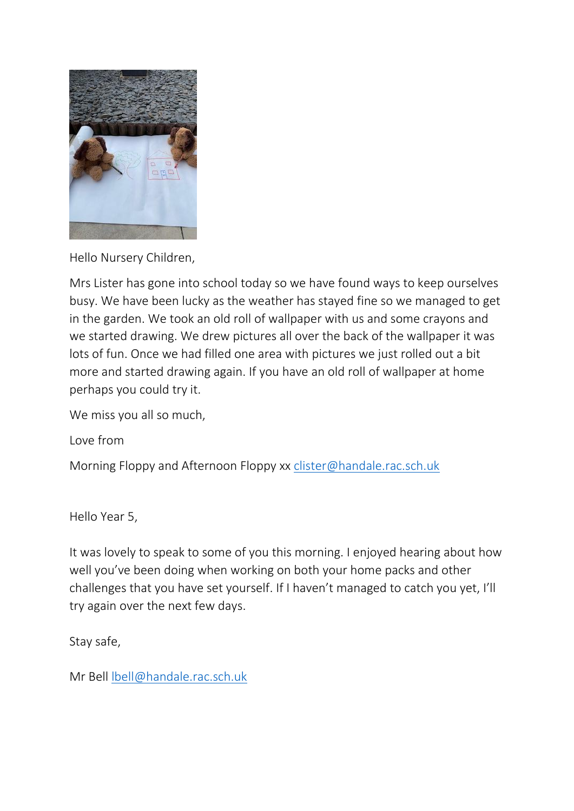

Hello Nursery Children,

Mrs Lister has gone into school today so we have found ways to keep ourselves busy. We have been lucky as the weather has stayed fine so we managed to get in the garden. We took an old roll of wallpaper with us and some crayons and we started drawing. We drew pictures all over the back of the wallpaper it was lots of fun. Once we had filled one area with pictures we just rolled out a bit more and started drawing again. If you have an old roll of wallpaper at home perhaps you could try it.

We miss you all so much,

Love from

Morning Floppy and Afternoon Floppy xx [clister@handale.rac.sch.uk](mailto:clister@handale.rac.sch.uk)

Hello Year 5,

It was lovely to speak to some of you this morning. I enjoyed hearing about how well you've been doing when working on both your home packs and other challenges that you have set yourself. If I haven't managed to catch you yet, I'll try again over the next few days.

Stay safe,

Mr Bell [lbell@handale.rac.sch.uk](mailto:lbell@handale.rac.sch.uk)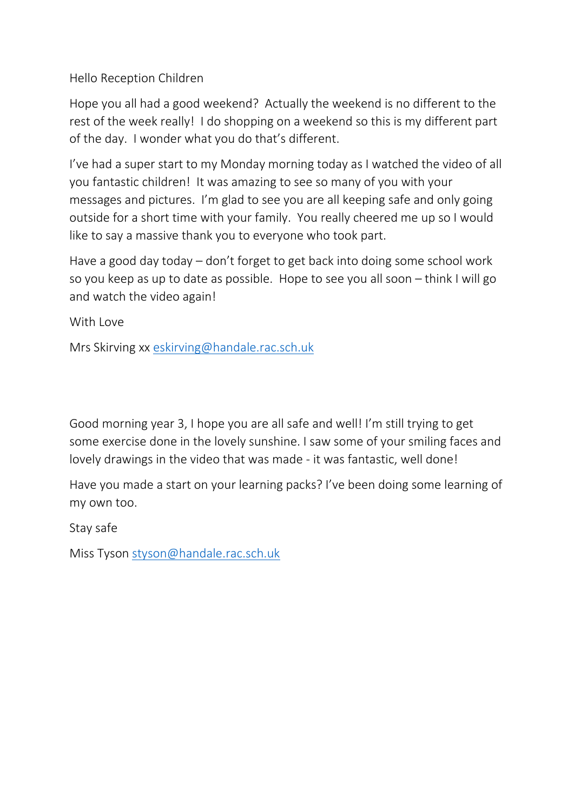Hello Reception Children

Hope you all had a good weekend? Actually the weekend is no different to the rest of the week really! I do shopping on a weekend so this is my different part of the day. I wonder what you do that's different.

I've had a super start to my Monday morning today as I watched the video of all you fantastic children! It was amazing to see so many of you with your messages and pictures. I'm glad to see you are all keeping safe and only going outside for a short time with your family. You really cheered me up so I would like to say a massive thank you to everyone who took part.

Have a good day today – don't forget to get back into doing some school work so you keep as up to date as possible. Hope to see you all soon – think I will go and watch the video again!

With Love

Mrs Skirving xx [eskirving@handale.rac.sch.uk](mailto:eskirving@handale.rac.sch.uk)

Good morning year 3, I hope you are all safe and well! I'm still trying to get some exercise done in the lovely sunshine. I saw some of your smiling faces and lovely drawings in the video that was made - it was fantastic, well done!

Have you made a start on your learning packs? I've been doing some learning of my own too.

Stay safe

Miss Tyson [styson@handale.rac.sch.uk](mailto:styson@handale.rac.sch.uk)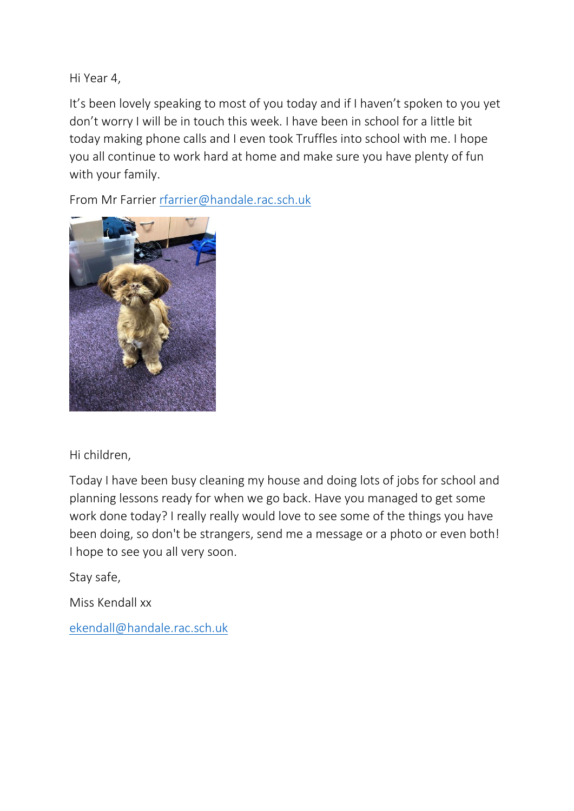Hi Year 4,

It's been lovely speaking to most of you today and if I haven't spoken to you yet don't worry I will be in touch this week. I have been in school for a little bit today making phone calls and I even took Truffles into school with me. I hope you all continue to work hard at home and make sure you have plenty of fun with your family.

From Mr Farrier [rfarrier@handale.rac.sch.uk](mailto:rfarrier@handale.rac.sch.uk)



Hi children,

Today I have been busy cleaning my house and doing lots of jobs for school and planning lessons ready for when we go back. Have you managed to get some work done today? I really really would love to see some of the things you have been doing, so don't be strangers, send me a message or a photo or even both! I hope to see you all very soon.

Stay safe,

Miss Kendall xx

[ekendall@handale.rac.sch.uk](mailto:ekendall@handale.rac.sch.uk)